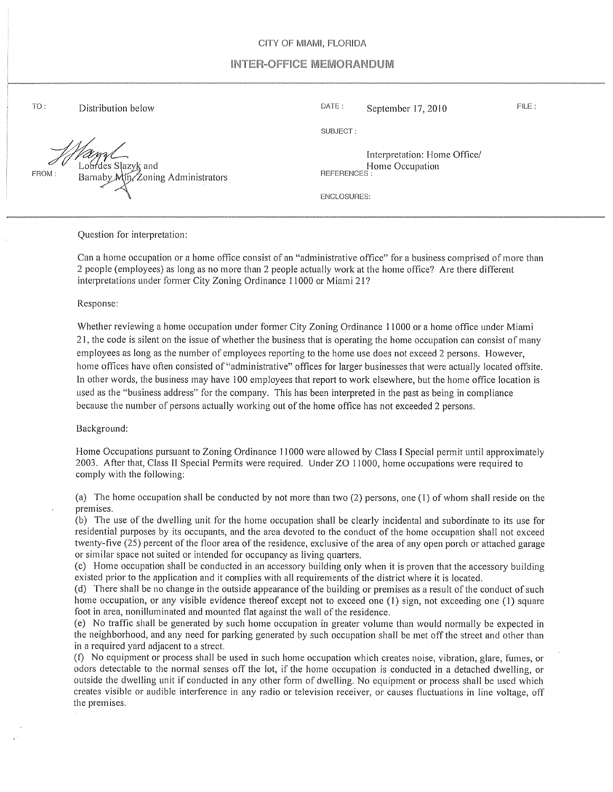## CITY OF MIAMI, FLORIDA

## INTER-OFFICE MEMORANDUM

 $TO:$ 

'des Slazy<u>k</u> and  $FROM:$  Barnaby  $M_{11} / Z$ oning Administrators

Distribution below FILE: Distribution below DATE: September 17, 2010

SUBJECT:

Interpretation: Home Office/ Home Occupation REFERENCES:

ENCLOSURES:

Question for interpretation:

Can a home occupation or a home office consist of an "administrative office" for a business comprised of more than 2 people (employees) as long as no more than 2 people actually work at the home office? Are there different interpretations under former City Zoning Ordinance 11000 or Miami 21?

Response:

Whether reviewing a home occupation under former City Zoning Ordinance 11000 or a home office under Miami 21, the code is silent on the issue of whether the business that is operating the home occupation can consist of many employees as long as the number of employees reporting to the home use does not exceed 2 persons. However, home offices have often consisted of "administrative" offices for larger businesses that were actually located offsite. In other words, the business may have 100 employees that report to work elsewhere, but the home office location is used as the "business address" for the company. This has been interpreted in the past as being in compliance because the number of persons actually working out of the home office has not exceeded 2 persons.

Background:

Home Occupations pursuant to Zoning Ordinance 11000 were allowed by Class I Special permit until approximately 2003. After that, Class II Special Permits were required. Under ZO 11000, home occupations were required to comply with the following:

(a) The home occupation shall be conducted by not more than two (2) persons, one (1) of whom shall reside on the premises.

(b) The use of the dwelling unit for the home occupation shall be clearly incidental and subordinate to its use for residential purposes by its occupants, and the area devoted to the conduct of the home occupation shall not exceed twenty-five (25) percent of the floor area of the residence, exclusive of the area of any open porch or attached garage or similar space not suited or intended for occupancy as living quarters.

(c) Home occupation shall be conducted in an accessory building only when it is proven that the accessory building existed prior to the application and it complies with all requirements of the district where it is located.

(d) There shall be no change in the outside appearance of the building or premises as a result of the conduct of such home occupation, or any visible evidence thereof except not to exceed one (1) sign, not exceeding one (1) square foot in area, nonilluminated and mounted flat against the wall of the residence.

(e) No traffic shall be generated by such home occupation in greater volume than would normally be expected in the neighborhood, and any need for parking generated by such occupation shall be met off the street and other than in a required yard adjacent to a street.

(f) No equipment or process shall be used in such home occupation which creates noise, vibration, glare, fumes, or odors detectable to the normal senses off the lot, if the home occupation is conducted in a detached dwelling, or outside the dwelling unit if conducted in any other form of dwelling. No equipment or process shall be used which creates visible or audible interference in any radio or television receiver, or causes fluctuations in line voltage, off the premises.